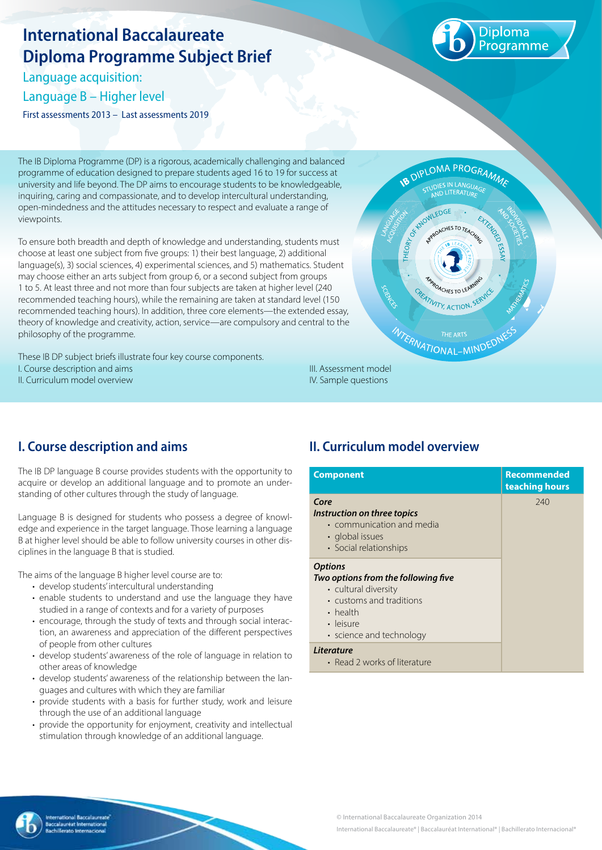# **International Baccalaureate Diploma Programme Subject Brief**

Language acquisition: Language B – Higher level

First assessments 2013 – Last assessments 2019



The IB Diploma Programme (DP) is a rigorous, academically challenging and balanced programme of education designed to prepare students aged 16 to 19 for success at university and life beyond. The DP aims to encourage students to be knowledgeable, inquiring, caring and compassionate, and to develop intercultural understanding, open-mindedness and the attitudes necessary to respect and evaluate a range of viewpoints.

To ensure both breadth and depth of knowledge and understanding, students must choose at least one subject from five groups: 1) their best language, 2) additional language(s), 3) social sciences, 4) experimental sciences, and 5) mathematics. Student may choose either an arts subject from group 6, or a second subject from groups 1 to 5. At least three and not more than four subjects are taken at higher level (240 recommended teaching hours), while the remaining are taken at standard level (150 recommended teaching hours). In addition, three core elements—the extended essay, theory of knowledge and creativity, action, service—are compulsory and central to the philosophy of the programme.

These IB DP subject briefs illustrate four key course components. I. Course description and aims II. Curriculum model overview



## **I. Course description and aims**

The IB DP language B course provides students with the opportunity to acquire or develop an additional language and to promote an understanding of other cultures through the study of language.

Language B is designed for students who possess a degree of knowledge and experience in the target language. Those learning a language B at higher level should be able to follow university courses in other disciplines in the language B that is studied.

The aims of the language B higher level course are to:

- develop students' intercultural understanding
- enable students to understand and use the language they have studied in a range of contexts and for a variety of purposes
- encourage, through the study of texts and through social interaction, an awareness and appreciation of the different perspectives of people from other cultures
- develop students' awareness of the role of language in relation to other areas of knowledge
- develop students' awareness of the relationship between the languages and cultures with which they are familiar
- provide students with a basis for further study, work and leisure through the use of an additional language
- provide the opportunity for enjoyment, creativity and intellectual stimulation through knowledge of an additional language.

### **II. Curriculum model overview**

IV. Sample questions

| <b>Component</b>                                                                                                                                                     | <b>Recommended</b><br>teaching hours |
|----------------------------------------------------------------------------------------------------------------------------------------------------------------------|--------------------------------------|
| Core<br>Instruction on three topics<br>• communication and media<br>• global issues<br>· Social relationships                                                        | 740                                  |
| <b>Options</b><br>Two options from the following five<br>• cultural diversity<br>• customs and traditions<br>$\cdot$ health<br>• leisure<br>• science and technology |                                      |
| Literature                                                                                                                                                           |                                      |

• Read 2 works of literature